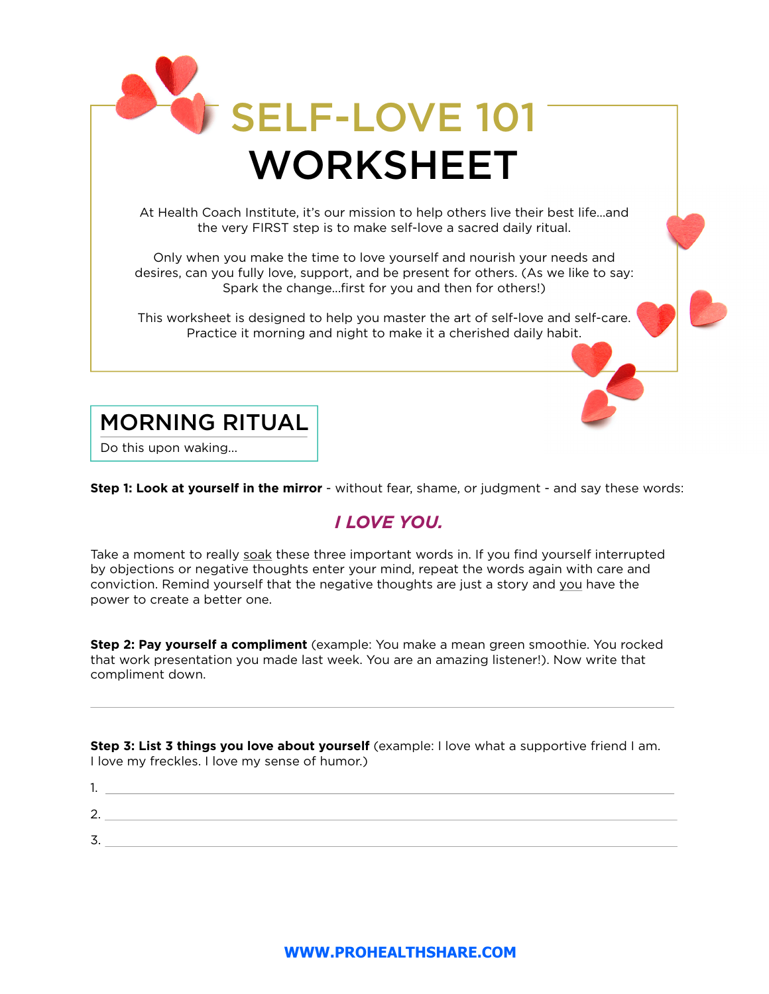

Do this upon waking...

 $\overline{a}$ 

**Step 1: Look at yourself in the mirror** - without fear, shame, or judgment - and say these words:

## *I LOVE YOU.*

Take a moment to really soak these three important words in. If you find yourself interrupted by objections or negative thoughts enter your mind, repeat the words again with care and conviction. Remind yourself that the negative thoughts are just a story and you have the power to create a better one.

**Step 2: Pay yourself a compliment** (example: You make a mean green smoothie. You rocked that work presentation you made last week. You are an amazing listener!). Now write that compliment down.

**Step 3: List 3 things you love about yourself** (example: I love what a supportive friend I am. I love my freckles. I love my sense of humor.)

1. 2. 3.